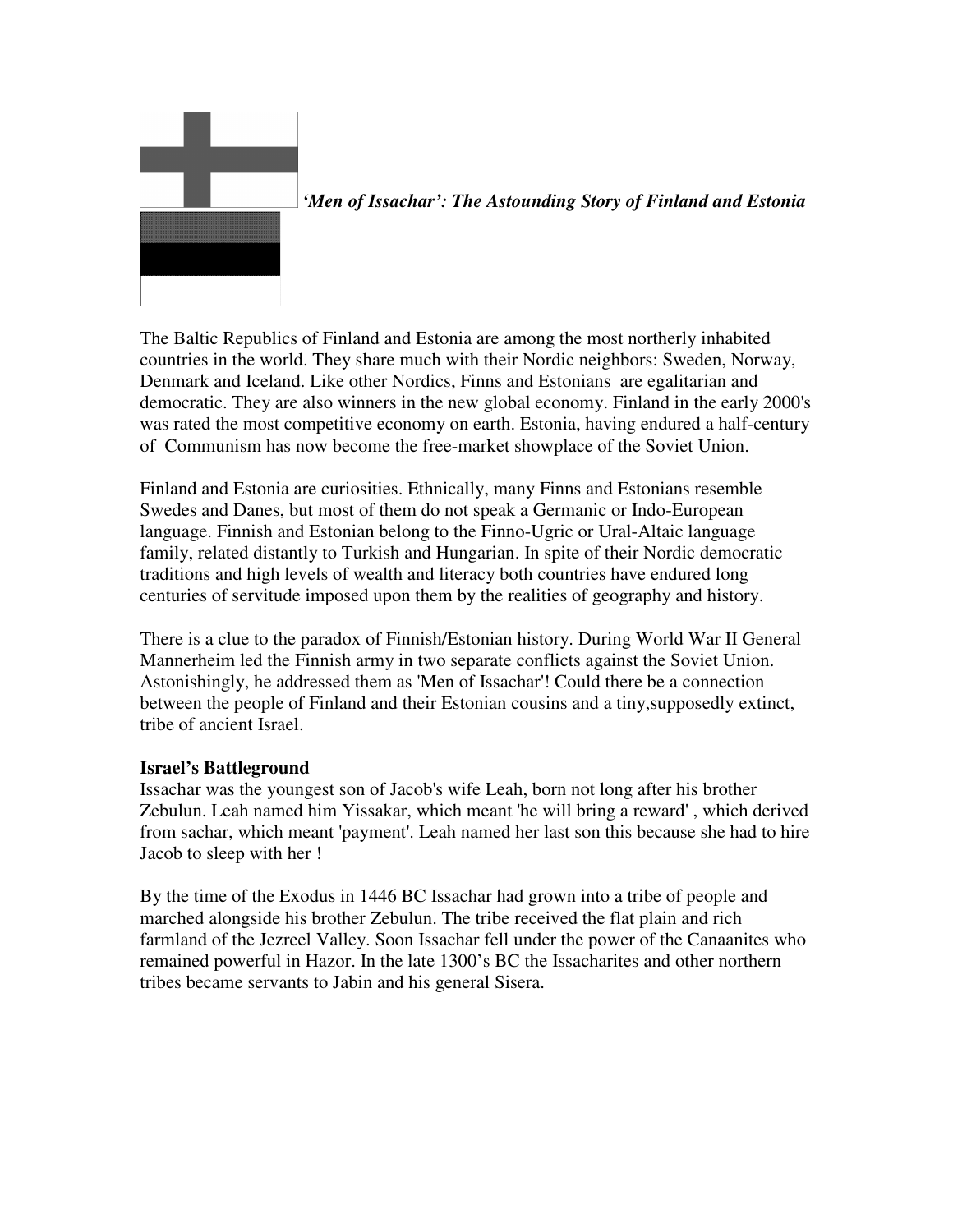

 *'Men of Issachar': The Astounding Story of Finland and Estonia* 

The Baltic Republics of Finland and Estonia are among the most northerly inhabited countries in the world. They share much with their Nordic neighbors: Sweden, Norway, Denmark and Iceland. Like other Nordics, Finns and Estonians are egalitarian and democratic. They are also winners in the new global economy. Finland in the early 2000's was rated the most competitive economy on earth. Estonia, having endured a half-century of Communism has now become the free-market showplace of the Soviet Union.

Finland and Estonia are curiosities. Ethnically, many Finns and Estonians resemble Swedes and Danes, but most of them do not speak a Germanic or Indo-European language. Finnish and Estonian belong to the Finno-Ugric or Ural-Altaic language family, related distantly to Turkish and Hungarian. In spite of their Nordic democratic traditions and high levels of wealth and literacy both countries have endured long centuries of servitude imposed upon them by the realities of geography and history.

There is a clue to the paradox of Finnish/Estonian history. During World War II General Mannerheim led the Finnish army in two separate conflicts against the Soviet Union. Astonishingly, he addressed them as 'Men of Issachar'! Could there be a connection between the people of Finland and their Estonian cousins and a tiny,supposedly extinct, tribe of ancient Israel.

# **Israel's Battleground**

Issachar was the youngest son of Jacob's wife Leah, born not long after his brother Zebulun. Leah named him Yissakar, which meant 'he will bring a reward' , which derived from sachar, which meant 'payment'. Leah named her last son this because she had to hire Jacob to sleep with her !

By the time of the Exodus in 1446 BC Issachar had grown into a tribe of people and marched alongside his brother Zebulun. The tribe received the flat plain and rich farmland of the Jezreel Valley. Soon Issachar fell under the power of the Canaanites who remained powerful in Hazor. In the late 1300's BC the Issacharites and other northern tribes became servants to Jabin and his general Sisera.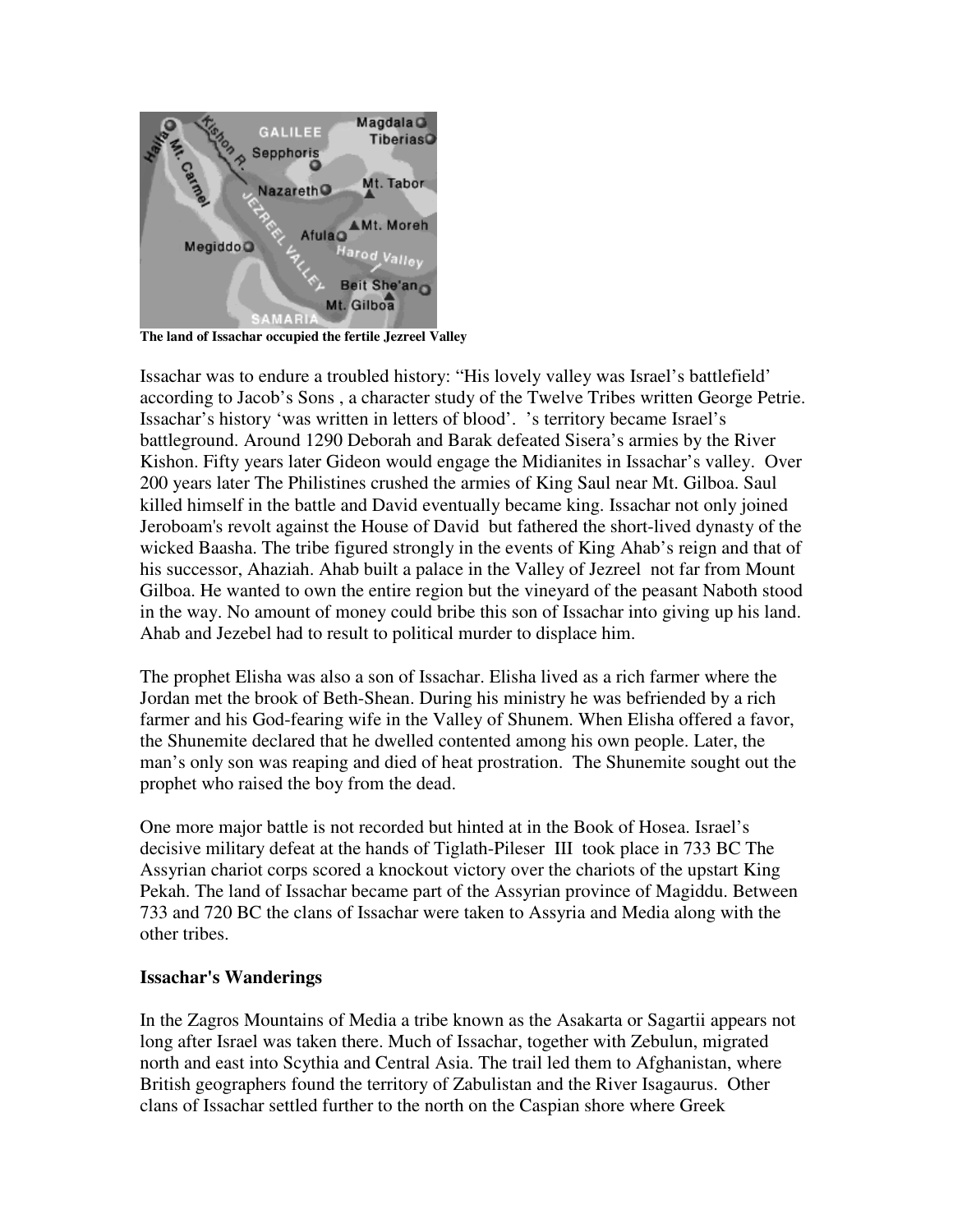

**The land of Issachar occupied the fertile Jezreel Valley** 

Issachar was to endure a troubled history: "His lovely valley was Israel's battlefield' according to Jacob's Sons , a character study of the Twelve Tribes written George Petrie. Issachar's history 'was written in letters of blood'. 's territory became Israel's battleground. Around 1290 Deborah and Barak defeated Sisera's armies by the River Kishon. Fifty years later Gideon would engage the Midianites in Issachar's valley. Over 200 years later The Philistines crushed the armies of King Saul near Mt. Gilboa. Saul killed himself in the battle and David eventually became king. Issachar not only joined Jeroboam's revolt against the House of David but fathered the short-lived dynasty of the wicked Baasha. The tribe figured strongly in the events of King Ahab's reign and that of his successor, Ahaziah. Ahab built a palace in the Valley of Jezreel not far from Mount Gilboa. He wanted to own the entire region but the vineyard of the peasant Naboth stood in the way. No amount of money could bribe this son of Issachar into giving up his land. Ahab and Jezebel had to result to political murder to displace him.

The prophet Elisha was also a son of Issachar. Elisha lived as a rich farmer where the Jordan met the brook of Beth-Shean. During his ministry he was befriended by a rich farmer and his God-fearing wife in the Valley of Shunem. When Elisha offered a favor, the Shunemite declared that he dwelled contented among his own people. Later, the man's only son was reaping and died of heat prostration. The Shunemite sought out the prophet who raised the boy from the dead.

One more major battle is not recorded but hinted at in the Book of Hosea. Israel's decisive military defeat at the hands of Tiglath-Pileser III took place in 733 BC The Assyrian chariot corps scored a knockout victory over the chariots of the upstart King Pekah. The land of Issachar became part of the Assyrian province of Magiddu. Between 733 and 720 BC the clans of Issachar were taken to Assyria and Media along with the other tribes.

#### **Issachar's Wanderings**

In the Zagros Mountains of Media a tribe known as the Asakarta or Sagartii appears not long after Israel was taken there. Much of Issachar, together with Zebulun, migrated north and east into Scythia and Central Asia. The trail led them to Afghanistan, where British geographers found the territory of Zabulistan and the River Isagaurus. Other clans of Issachar settled further to the north on the Caspian shore where Greek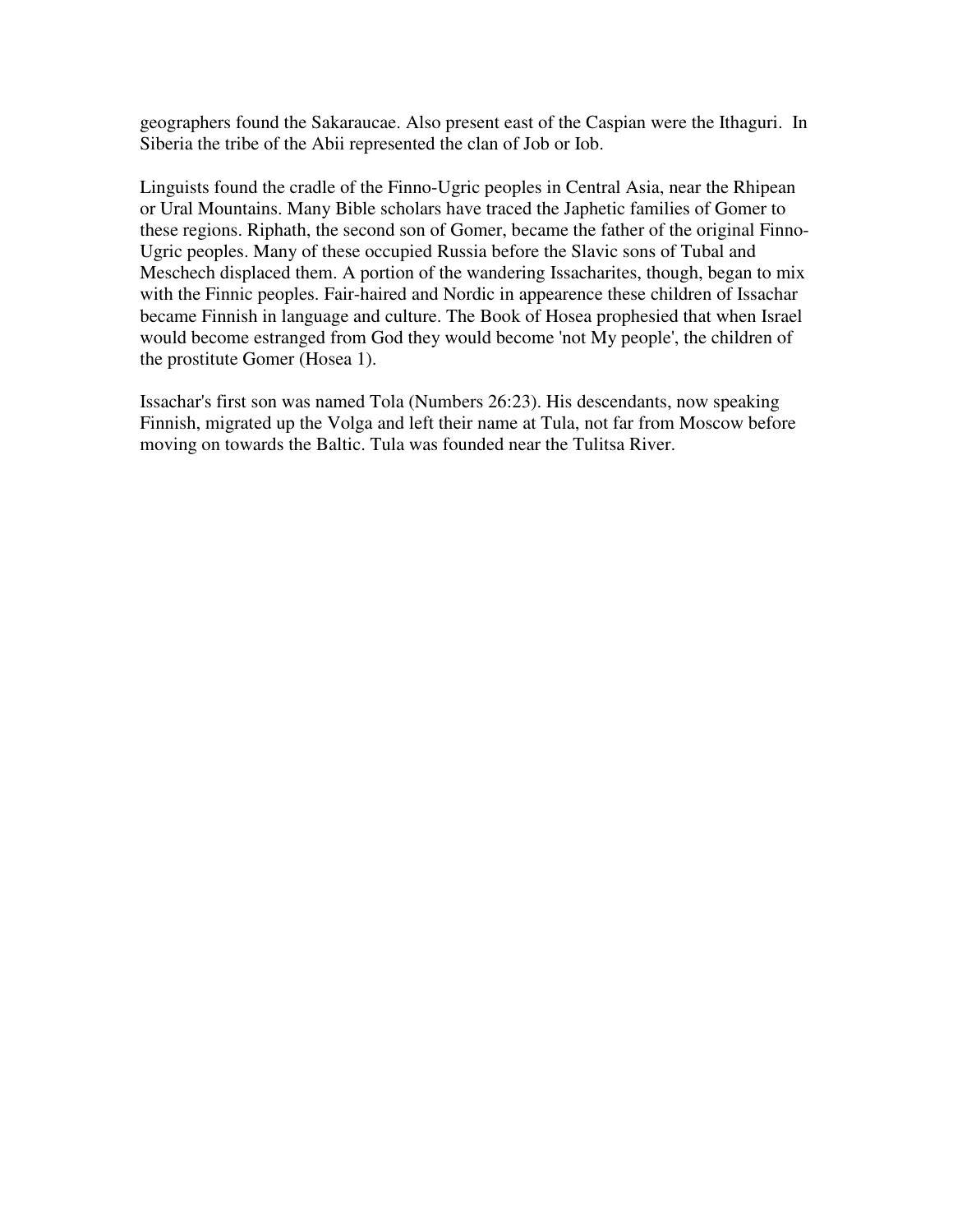geographers found the Sakaraucae. Also present east of the Caspian were the Ithaguri. In Siberia the tribe of the Abii represented the clan of Job or Iob.

Linguists found the cradle of the Finno-Ugric peoples in Central Asia, near the Rhipean or Ural Mountains. Many Bible scholars have traced the Japhetic families of Gomer to these regions. Riphath, the second son of Gomer, became the father of the original Finno-Ugric peoples. Many of these occupied Russia before the Slavic sons of Tubal and Meschech displaced them. A portion of the wandering Issacharites, though, began to mix with the Finnic peoples. Fair-haired and Nordic in appearence these children of Issachar became Finnish in language and culture. The Book of Hosea prophesied that when Israel would become estranged from God they would become 'not My people', the children of the prostitute Gomer (Hosea 1).

Issachar's first son was named Tola (Numbers 26:23). His descendants, now speaking Finnish, migrated up the Volga and left their name at Tula, not far from Moscow before moving on towards the Baltic. Tula was founded near the Tulitsa River.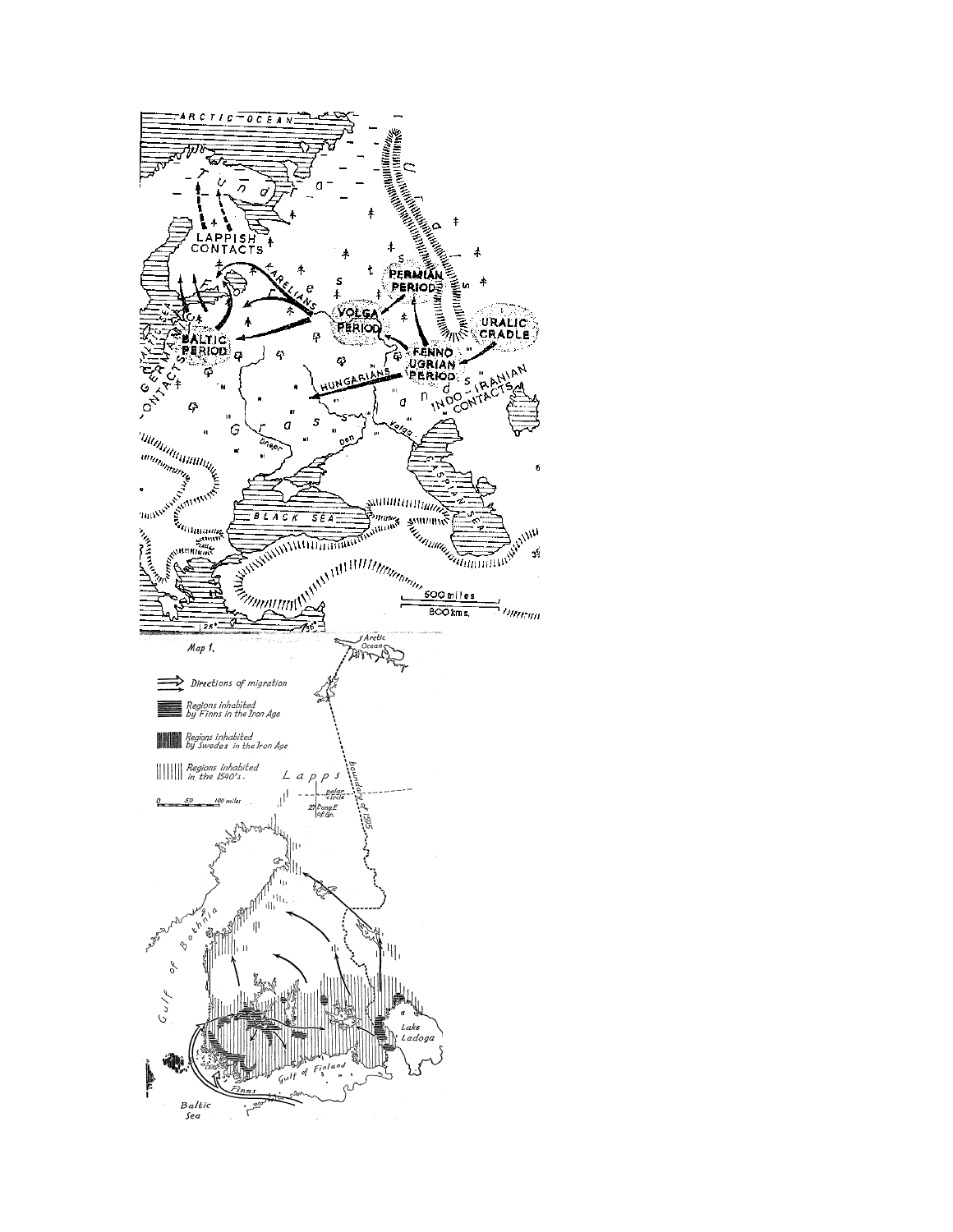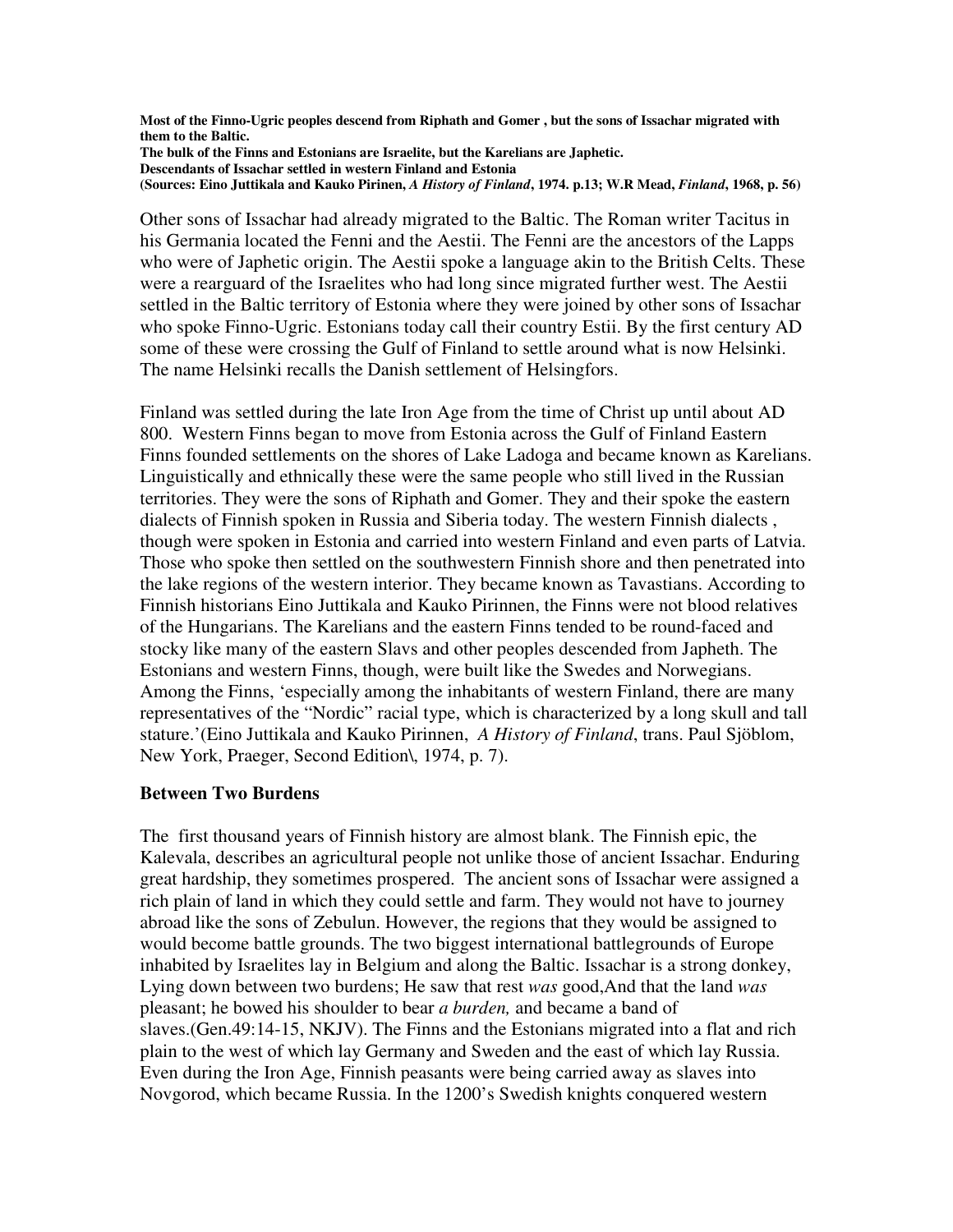**Most of the Finno-Ugric peoples descend from Riphath and Gomer , but the sons of Issachar migrated with them to the Baltic. The bulk of the Finns and Estonians are Israelite, but the Karelians are Japhetic. Descendants of Issachar settled in western Finland and Estonia (Sources: Eino Juttikala and Kauko Pirinen,** *A History of Finland***, 1974. p.13; W.R Mead,** *Finland***, 1968, p. 56)** 

Other sons of Issachar had already migrated to the Baltic. The Roman writer Tacitus in his Germania located the Fenni and the Aestii. The Fenni are the ancestors of the Lapps who were of Japhetic origin. The Aestii spoke a language akin to the British Celts. These were a rearguard of the Israelites who had long since migrated further west. The Aestii settled in the Baltic territory of Estonia where they were joined by other sons of Issachar who spoke Finno-Ugric. Estonians today call their country Estii. By the first century AD some of these were crossing the Gulf of Finland to settle around what is now Helsinki. The name Helsinki recalls the Danish settlement of Helsingfors.

Finland was settled during the late Iron Age from the time of Christ up until about AD 800. Western Finns began to move from Estonia across the Gulf of Finland Eastern Finns founded settlements on the shores of Lake Ladoga and became known as Karelians. Linguistically and ethnically these were the same people who still lived in the Russian territories. They were the sons of Riphath and Gomer. They and their spoke the eastern dialects of Finnish spoken in Russia and Siberia today. The western Finnish dialects , though were spoken in Estonia and carried into western Finland and even parts of Latvia. Those who spoke then settled on the southwestern Finnish shore and then penetrated into the lake regions of the western interior. They became known as Tavastians. According to Finnish historians Eino Juttikala and Kauko Pirinnen, the Finns were not blood relatives of the Hungarians. The Karelians and the eastern Finns tended to be round-faced and stocky like many of the eastern Slavs and other peoples descended from Japheth. The Estonians and western Finns, though, were built like the Swedes and Norwegians. Among the Finns, 'especially among the inhabitants of western Finland, there are many representatives of the "Nordic" racial type, which is characterized by a long skull and tall stature.'(Eino Juttikala and Kauko Pirinnen, *A History of Finland*, trans. Paul Sjöblom, New York, Praeger, Second Edition\, 1974, p. 7).

## **Between Two Burdens**

The first thousand years of Finnish history are almost blank. The Finnish epic, the Kalevala, describes an agricultural people not unlike those of ancient Issachar. Enduring great hardship, they sometimes prospered. The ancient sons of Issachar were assigned a rich plain of land in which they could settle and farm. They would not have to journey abroad like the sons of Zebulun. However, the regions that they would be assigned to would become battle grounds. The two biggest international battlegrounds of Europe inhabited by Israelites lay in Belgium and along the Baltic. Issachar is a strong donkey, Lying down between two burdens; He saw that rest *was* good,And that the land *was* pleasant; he bowed his shoulder to bear *a burden,* and became a band of slaves.(Gen.49:14-15, NKJV). The Finns and the Estonians migrated into a flat and rich plain to the west of which lay Germany and Sweden and the east of which lay Russia. Even during the Iron Age, Finnish peasants were being carried away as slaves into Novgorod, which became Russia. In the 1200's Swedish knights conquered western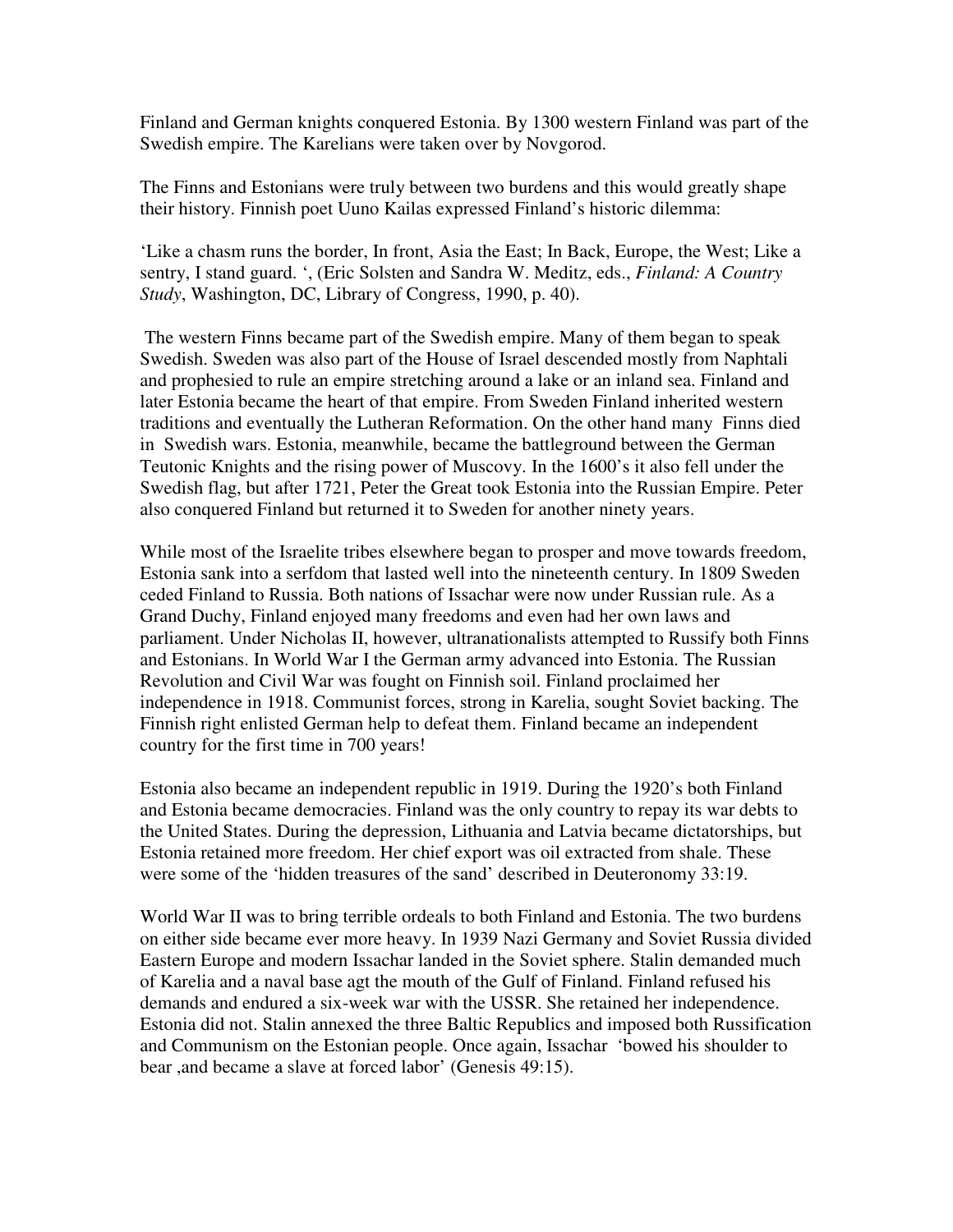Finland and German knights conquered Estonia. By 1300 western Finland was part of the Swedish empire. The Karelians were taken over by Novgorod.

The Finns and Estonians were truly between two burdens and this would greatly shape their history. Finnish poet Uuno Kailas expressed Finland's historic dilemma:

'Like a chasm runs the border, In front, Asia the East; In Back, Europe, the West; Like a sentry, I stand guard. ', (Eric Solsten and Sandra W. Meditz, eds., *Finland: A Country Study*, Washington, DC, Library of Congress, 1990, p. 40).

 The western Finns became part of the Swedish empire. Many of them began to speak Swedish. Sweden was also part of the House of Israel descended mostly from Naphtali and prophesied to rule an empire stretching around a lake or an inland sea. Finland and later Estonia became the heart of that empire. From Sweden Finland inherited western traditions and eventually the Lutheran Reformation. On the other hand many Finns died in Swedish wars. Estonia, meanwhile, became the battleground between the German Teutonic Knights and the rising power of Muscovy. In the 1600's it also fell under the Swedish flag, but after 1721, Peter the Great took Estonia into the Russian Empire. Peter also conquered Finland but returned it to Sweden for another ninety years.

While most of the Israelite tribes elsewhere began to prosper and move towards freedom, Estonia sank into a serfdom that lasted well into the nineteenth century. In 1809 Sweden ceded Finland to Russia. Both nations of Issachar were now under Russian rule. As a Grand Duchy, Finland enjoyed many freedoms and even had her own laws and parliament. Under Nicholas II, however, ultranationalists attempted to Russify both Finns and Estonians. In World War I the German army advanced into Estonia. The Russian Revolution and Civil War was fought on Finnish soil. Finland proclaimed her independence in 1918. Communist forces, strong in Karelia, sought Soviet backing. The Finnish right enlisted German help to defeat them. Finland became an independent country for the first time in 700 years!

Estonia also became an independent republic in 1919. During the 1920's both Finland and Estonia became democracies. Finland was the only country to repay its war debts to the United States. During the depression, Lithuania and Latvia became dictatorships, but Estonia retained more freedom. Her chief export was oil extracted from shale. These were some of the 'hidden treasures of the sand' described in Deuteronomy 33:19.

World War II was to bring terrible ordeals to both Finland and Estonia. The two burdens on either side became ever more heavy. In 1939 Nazi Germany and Soviet Russia divided Eastern Europe and modern Issachar landed in the Soviet sphere. Stalin demanded much of Karelia and a naval base agt the mouth of the Gulf of Finland. Finland refused his demands and endured a six-week war with the USSR. She retained her independence. Estonia did not. Stalin annexed the three Baltic Republics and imposed both Russification and Communism on the Estonian people. Once again, Issachar 'bowed his shoulder to bear ,and became a slave at forced labor' (Genesis 49:15).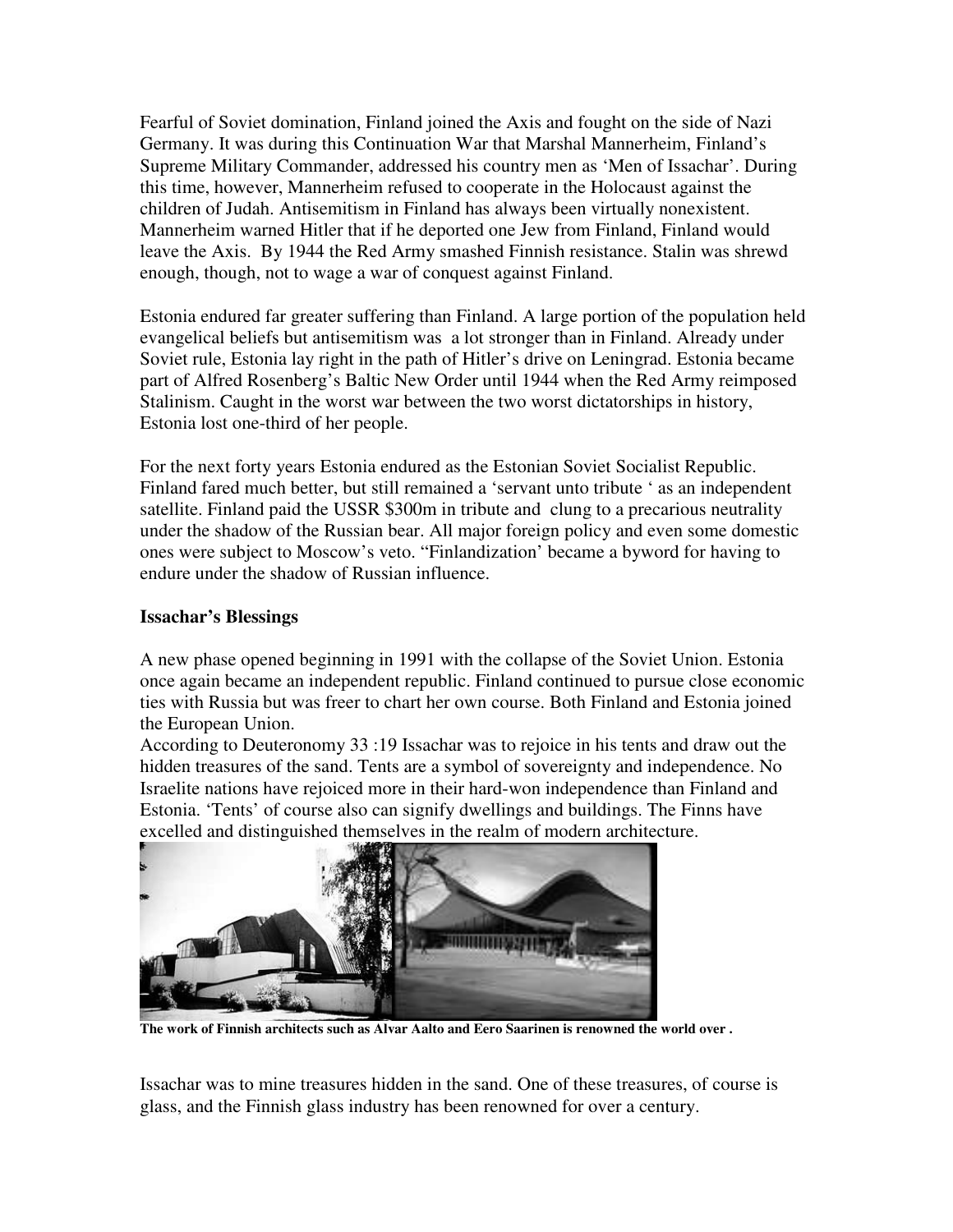Fearful of Soviet domination, Finland joined the Axis and fought on the side of Nazi Germany. It was during this Continuation War that Marshal Mannerheim, Finland's Supreme Military Commander, addressed his country men as 'Men of Issachar'. During this time, however, Mannerheim refused to cooperate in the Holocaust against the children of Judah. Antisemitism in Finland has always been virtually nonexistent. Mannerheim warned Hitler that if he deported one Jew from Finland, Finland would leave the Axis. By 1944 the Red Army smashed Finnish resistance. Stalin was shrewd enough, though, not to wage a war of conquest against Finland.

Estonia endured far greater suffering than Finland. A large portion of the population held evangelical beliefs but antisemitism was a lot stronger than in Finland. Already under Soviet rule, Estonia lay right in the path of Hitler's drive on Leningrad. Estonia became part of Alfred Rosenberg's Baltic New Order until 1944 when the Red Army reimposed Stalinism. Caught in the worst war between the two worst dictatorships in history, Estonia lost one-third of her people.

For the next forty years Estonia endured as the Estonian Soviet Socialist Republic. Finland fared much better, but still remained a 'servant unto tribute ' as an independent satellite. Finland paid the USSR \$300m in tribute and clung to a precarious neutrality under the shadow of the Russian bear. All major foreign policy and even some domestic ones were subject to Moscow's veto. "Finlandization' became a byword for having to endure under the shadow of Russian influence.

## **Issachar's Blessings**

A new phase opened beginning in 1991 with the collapse of the Soviet Union. Estonia once again became an independent republic. Finland continued to pursue close economic ties with Russia but was freer to chart her own course. Both Finland and Estonia joined the European Union.

According to Deuteronomy 33 :19 Issachar was to rejoice in his tents and draw out the hidden treasures of the sand. Tents are a symbol of sovereignty and independence. No Israelite nations have rejoiced more in their hard-won independence than Finland and Estonia. 'Tents' of course also can signify dwellings and buildings. The Finns have excelled and distinguished themselves in the realm of modern architecture.



**The work of Finnish architects such as Alvar Aalto and Eero Saarinen is renowned the world over .** 

Issachar was to mine treasures hidden in the sand. One of these treasures, of course is glass, and the Finnish glass industry has been renowned for over a century.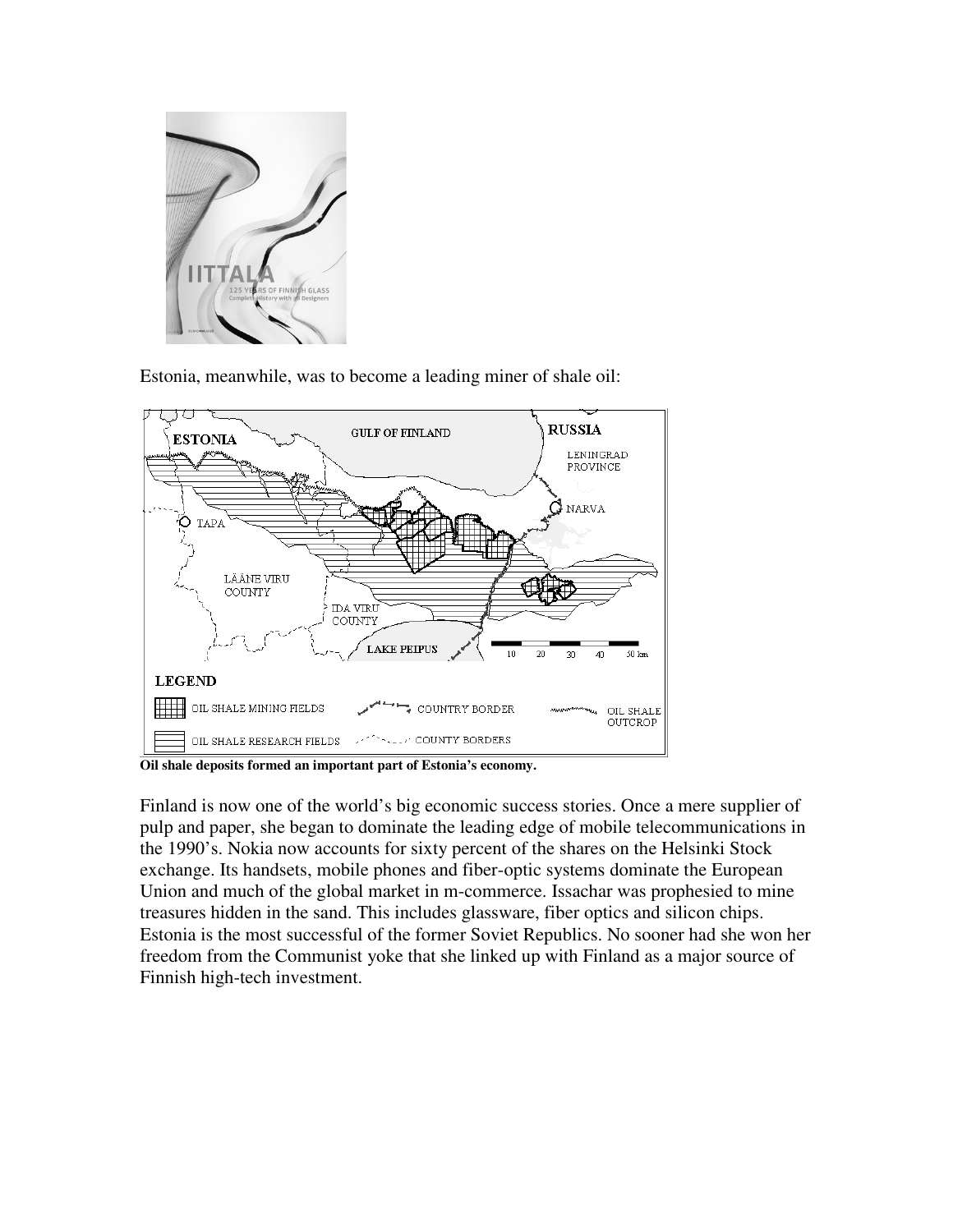

Estonia, meanwhile, was to become a leading miner of shale oil:



**Oil shale deposits formed an important part of Estonia's economy.** 

Finland is now one of the world's big economic success stories. Once a mere supplier of pulp and paper, she began to dominate the leading edge of mobile telecommunications in the 1990's. Nokia now accounts for sixty percent of the shares on the Helsinki Stock exchange. Its handsets, mobile phones and fiber-optic systems dominate the European Union and much of the global market in m-commerce. Issachar was prophesied to mine treasures hidden in the sand. This includes glassware, fiber optics and silicon chips. Estonia is the most successful of the former Soviet Republics. No sooner had she won her freedom from the Communist yoke that she linked up with Finland as a major source of Finnish high-tech investment.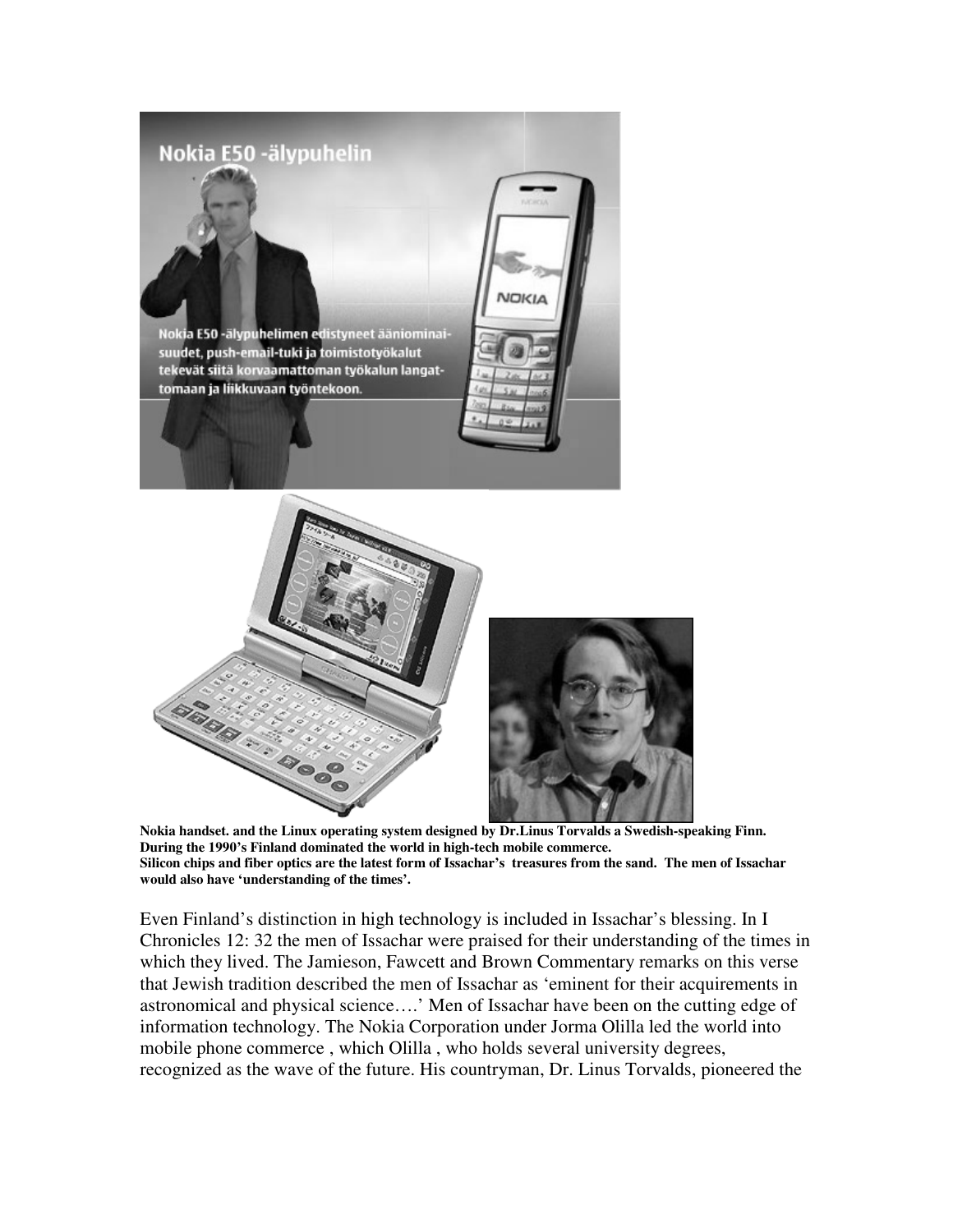

**Nokia handset. and the Linux operating system designed by Dr.Linus Torvalds a Swedish-speaking Finn. During the 1990's Finland dominated the world in high-tech mobile commerce. Silicon chips and fiber optics are the latest form of Issachar's treasures from the sand. The men of Issachar would also have 'understanding of the times'.** 

Even Finland's distinction in high technology is included in Issachar's blessing. In I Chronicles 12: 32 the men of Issachar were praised for their understanding of the times in which they lived. The Jamieson, Fawcett and Brown Commentary remarks on this verse that Jewish tradition described the men of Issachar as 'eminent for their acquirements in astronomical and physical science….' Men of Issachar have been on the cutting edge of information technology. The Nokia Corporation under Jorma Olilla led the world into mobile phone commerce , which Olilla , who holds several university degrees, recognized as the wave of the future. His countryman, Dr. Linus Torvalds, pioneered the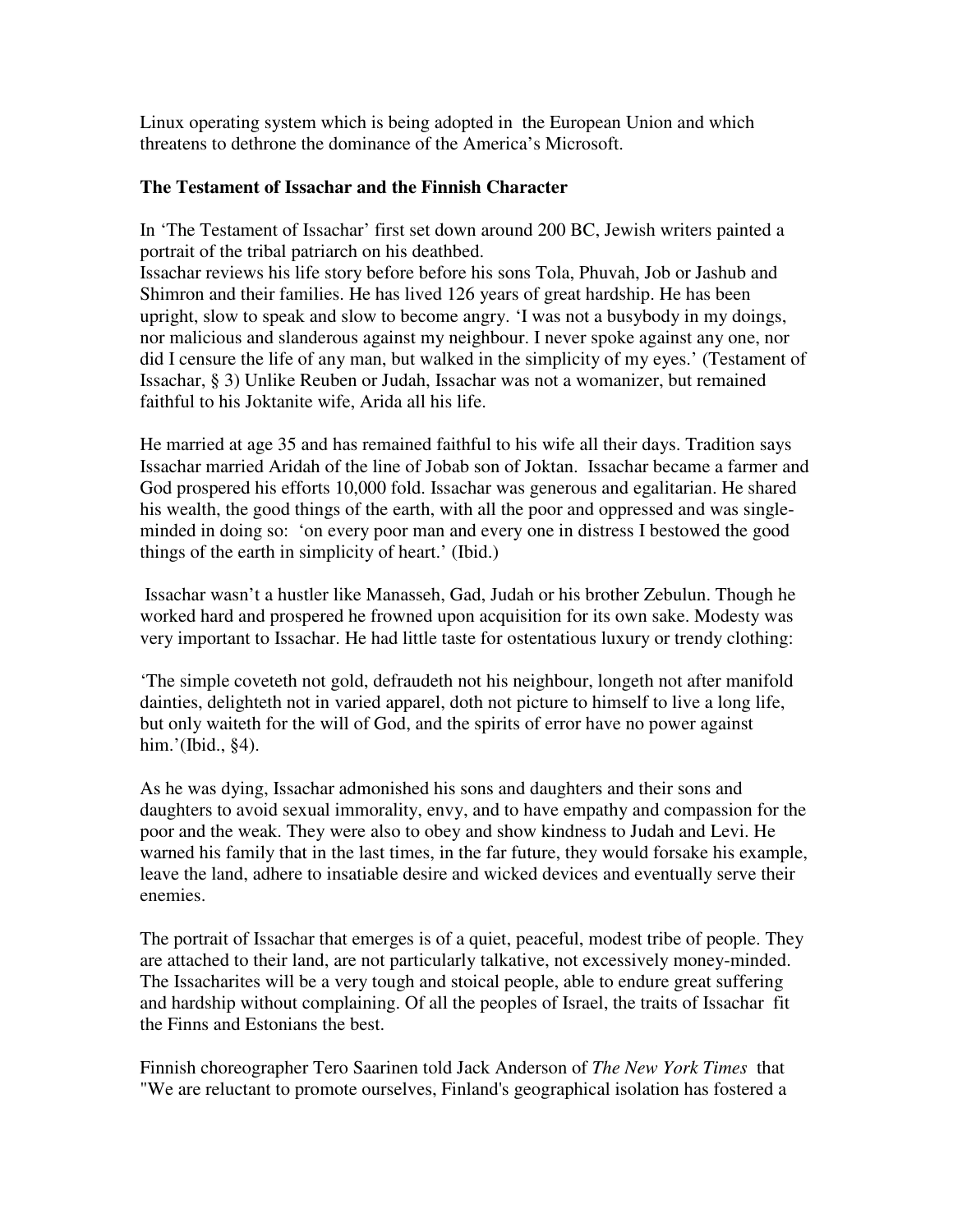Linux operating system which is being adopted in the European Union and which threatens to dethrone the dominance of the America's Microsoft.

# **The Testament of Issachar and the Finnish Character**

In 'The Testament of Issachar' first set down around 200 BC, Jewish writers painted a portrait of the tribal patriarch on his deathbed.

Issachar reviews his life story before before his sons Tola, Phuvah, Job or Jashub and Shimron and their families. He has lived 126 years of great hardship. He has been upright, slow to speak and slow to become angry. 'I was not a busybody in my doings, nor malicious and slanderous against my neighbour. I never spoke against any one, nor did I censure the life of any man, but walked in the simplicity of my eyes.' (Testament of Issachar, § 3) Unlike Reuben or Judah, Issachar was not a womanizer, but remained faithful to his Joktanite wife, Arida all his life.

He married at age 35 and has remained faithful to his wife all their days. Tradition says Issachar married Aridah of the line of Jobab son of Joktan. Issachar became a farmer and God prospered his efforts 10,000 fold. Issachar was generous and egalitarian. He shared his wealth, the good things of the earth, with all the poor and oppressed and was singleminded in doing so: 'on every poor man and every one in distress I bestowed the good things of the earth in simplicity of heart.' (Ibid.)

 Issachar wasn't a hustler like Manasseh, Gad, Judah or his brother Zebulun. Though he worked hard and prospered he frowned upon acquisition for its own sake. Modesty was very important to Issachar. He had little taste for ostentatious luxury or trendy clothing:

'The simple coveteth not gold, defraudeth not his neighbour, longeth not after manifold dainties, delighteth not in varied apparel, doth not picture to himself to live a long life, but only waiteth for the will of God, and the spirits of error have no power against him.'(Ibid., §4).

As he was dying, Issachar admonished his sons and daughters and their sons and daughters to avoid sexual immorality, envy, and to have empathy and compassion for the poor and the weak. They were also to obey and show kindness to Judah and Levi. He warned his family that in the last times, in the far future, they would forsake his example, leave the land, adhere to insatiable desire and wicked devices and eventually serve their enemies.

The portrait of Issachar that emerges is of a quiet, peaceful, modest tribe of people. They are attached to their land, are not particularly talkative, not excessively money-minded. The Issacharites will be a very tough and stoical people, able to endure great suffering and hardship without complaining. Of all the peoples of Israel, the traits of Issachar fit the Finns and Estonians the best.

Finnish choreographer Tero Saarinen told Jack Anderson of *The New York Times* that "We are reluctant to promote ourselves, Finland's geographical isolation has fostered a